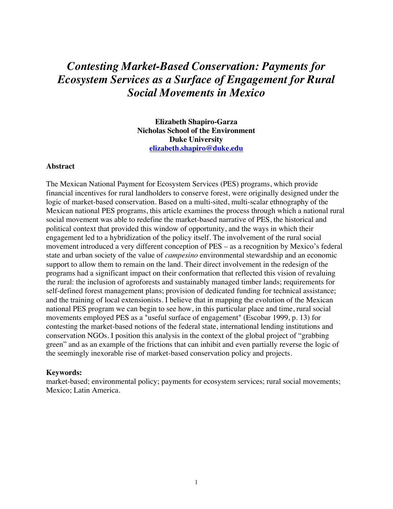# *Contesting Market-Based Conservation: Payments for Ecosystem Services as a Surface of Engagement for Rural Social Movements in Mexico*

**Elizabeth Shapiro-Garza Nicholas School of the Environment Duke University elizabeth.shapiro@duke.edu**

#### **Abstract**

The Mexican National Payment for Ecosystem Services (PES) programs, which provide financial incentives for rural landholders to conserve forest, were originally designed under the logic of market-based conservation. Based on a multi-sited, multi-scalar ethnography of the Mexican national PES programs, this article examines the process through which a national rural social movement was able to redefine the market-based narrative of PES, the historical and political context that provided this window of opportunity, and the ways in which their engagement led to a hybridization of the policy itself. The involvement of the rural social movement introduced a very different conception of PES – as a recognition by Mexico's federal state and urban society of the value of *campesino* environmental stewardship and an economic support to allow them to remain on the land. Their direct involvement in the redesign of the programs had a significant impact on their conformation that reflected this vision of revaluing the rural: the inclusion of agroforests and sustainably managed timber lands; requirements for self-defined forest management plans; provision of dedicated funding for technical assistance; and the training of local extensionists. I believe that in mapping the evolution of the Mexican national PES program we can begin to see how, in this particular place and time, rural social movements employed PES as a "useful surface of engagement" (Escobar 1999, p. 13) for contesting the market-based notions of the federal state, international lending institutions and conservation NGOs. I position this analysis in the context of the global project of "grabbing green" and as an example of the frictions that can inhibit and even partially reverse the logic of the seemingly inexorable rise of market-based conservation policy and projects.

#### **Keywords:**

market-based; environmental policy; payments for ecosystem services; rural social movements; Mexico; Latin America.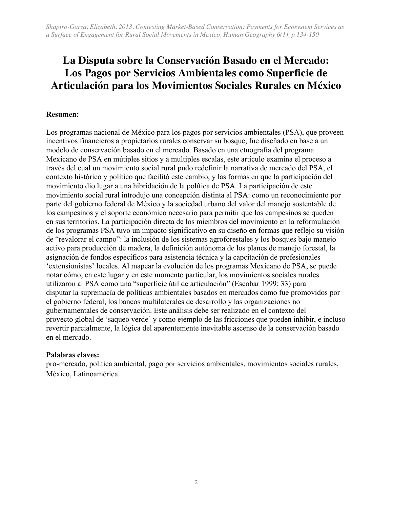# **La Disputa sobre la Conservación Basado en el Mercado: Los Pagos por Servicios Ambientales como Superficie de Articulación para los Movimientos Sociales Rurales en México**

### **Resumen:**

Los programas nacional de México para los pagos por servicios ambientales (PSA), que proveen incentivos financieros a propietarios rurales conservar su bosque, fue diseñado en base a un modelo de conservación basado en el mercado. Basado en una etnografía del programa Mexicano de PSA en mútiples sitios y a multiples escalas, este artículo examina el proceso a través del cual un movimiento social rural pudo redefinir la narrativa de mercado del PSA, el contexto histórico y político que facilitó este cambio, y las formas en que la participación del movimiento dio lugar a una hibridación de la política de PSA. La participación de este movimiento social rural introdujo una concepción distinta al PSA: como un reconocimiento por parte del gobierno federal de México y la sociedad urbano del valor del manejo sostentable de los campesinos y el soporte económico necesario para permitir que los campesinos se queden en sus territorios. La participación directa de los miembros del movimiento en la reformulación de los programas PSA tuvo un impacto significativo en su diseño en formas que reflejo su visión de "revalorar el campo": la inclusión de los sistemas agroforestales y los bosques bajo manejo activo para producción de madera, la definición autónoma de los planes de manejo forestal, la asignación de fondos específicos para asistencia técnica y la capcitación de profesionales 'extensionistas' locales. Al mapear la evolución de los programas Mexicano de PSA, se puede notar cómo, en este lugar y en este momento particular, los movimientos sociales rurales utilizaron al PSA como una "superficie útil de articulación" (Escobar 1999: 33) para disputar la supremacía de políticas ambientales basados en mercados como fue promovidos por el gobierno federal, los bancos multilaterales de desarrollo y las organizaciones no gubernamentales de conservación. Este análisis debe ser realizado en el contexto del proyecto global de 'saqueo verde' y como ejemplo de las fricciones que pueden inhibir, e incluso revertir parcialmente, la lógica del aparentemente inevitable ascenso de la conservación basado en el mercado.

#### **Palabras claves:**

pro-mercado, pol.tica ambiental, pago por servicios ambientales, movimientos sociales rurales, México, Latinoamérica.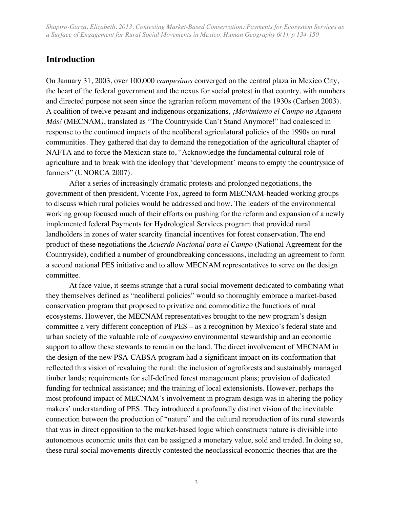## **Introduction**

On January 31, 2003, over 100,000 *campesinos* converged on the central plaza in Mexico City, the heart of the federal government and the nexus for social protest in that country, with numbers and directed purpose not seen since the agrarian reform movement of the 1930s (Carlsen 2003). A coalition of twelve peasant and indigenous organizations, *¡Movimiento el Campo no Aguanta Más!* (MECNAM), translated as "The Countryside Can't Stand Anymore!" had coalesced in response to the continued impacts of the neoliberal agriculatural policies of the 1990s on rural communities. They gathered that day to demand the renegotiation of the agricultural chapter of NAFTA and to force the Mexican state to, "Acknowledge the fundamental cultural role of agriculture and to break with the ideology that 'development' means to empty the countryside of farmers" (UNORCA 2007).

After a series of increasingly dramatic protests and prolonged negotiations, the government of then president, Vicente Fox, agreed to form MECNAM-headed working groups to discuss which rural policies would be addressed and how. The leaders of the environmental working group focused much of their efforts on pushing for the reform and expansion of a newly implemented federal Payments for Hydrological Services program that provided rural landholders in zones of water scarcity financial incentives for forest conservation. The end product of these negotiations the *Acuerdo Nacional para el Campo* (National Agreement for the Countryside), codified a number of groundbreaking concessions, including an agreement to form a second national PES initiative and to allow MECNAM representatives to serve on the design committee.

At face value, it seems strange that a rural social movement dedicated to combating what they themselves defined as "neoliberal policies" would so thoroughly embrace a market-based conservation program that proposed to privatize and commoditize the functions of rural ecosystems. However, the MECNAM representatives brought to the new program's design committee a very different conception of PES – as a recognition by Mexico's federal state and urban society of the valuable role of *campesino* environmental stewardship and an economic support to allow these stewards to remain on the land. The direct involvement of MECNAM in the design of the new PSA-CABSA program had a significant impact on its conformation that reflected this vision of revaluing the rural: the inclusion of agroforests and sustainably managed timber lands; requirements for self-defined forest management plans; provision of dedicated funding for technical assistance; and the training of local extensionists. However, perhaps the most profound impact of MECNAM's involvement in program design was in altering the policy makers' understanding of PES. They introduced a profoundly distinct vision of the inevitable connection between the production of "nature" and the cultural reproduction of its rural stewards that was in direct opposition to the market-based logic which constructs nature is divisible into autonomous economic units that can be assigned a monetary value, sold and traded. In doing so, these rural social movements directly contested the neoclassical economic theories that are the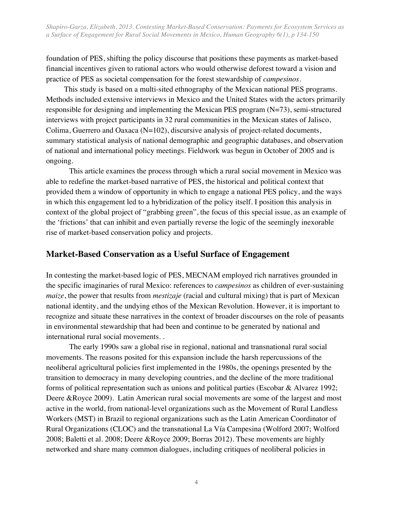foundation of PES, shifting the policy discourse that positions these payments as market-based financial incentives given to rational actors who would otherwise deforest toward a vision and practice of PES as societal compensation for the forest stewardship of *campesinos*.

This study is based on a multi-sited ethnography of the Mexican national PES programs. Methods included extensive interviews in Mexico and the United States with the actors primarily responsible for designing and implementing the Mexican PES program (N=73), semi-structured interviews with project participants in 32 rural communities in the Mexican states of Jalisco, Colima, Guerrero and Oaxaca (N=102), discursive analysis of project-related documents, summary statistical analysis of national demographic and geographic databases, and observation of national and international policy meetings. Fieldwork was begun in October of 2005 and is ongoing.

This article examines the process through which a rural social movement in Mexico was able to redefine the market-based narrative of PES, the historical and political context that provided them a window of opportunity in which to engage a national PES policy, and the ways in which this engagement led to a hybridization of the policy itself. I position this analysis in context of the global project of "grabbing green", the focus of this special issue, as an example of the 'frictions' that can inhibit and even partially reverse the logic of the seemingly inexorable rise of market-based conservation policy and projects.

## **Market-Based Conservation as a Useful Surface of Engagement**

In contesting the market-based logic of PES, MECNAM employed rich narratives grounded in the specific imaginaries of rural Mexico: references to *campesinos* as children of ever-sustaining *maize*, the power that results from *mestizaje* (racial and cultural mixing) that is part of Mexican national identity, and the undying ethos of the Mexican Revolution. However, it is important to recognize and situate these narratives in the context of broader discourses on the role of peasants in environmental stewardship that had been and continue to be generated by national and international rural social movements. .

The early 1990s saw a global rise in regional, national and transnational rural social movements. The reasons posited for this expansion include the harsh repercussions of the neoliberal agricultural policies first implemented in the 1980s, the openings presented by the transition to democracy in many developing countries, and the decline of the more traditional forms of political representation such as unions and political parties (Escobar & Alvarez 1992; Deere &Royce 2009). Latin American rural social movements are some of the largest and most active in the world, from national-level organizations such as the Movement of Rural Landless Workers (MST) in Brazil to regional organizations such as the Latin American Coordinator of Rural Organizations (CLOC) and the transnational La Vía Campesina (Wolford 2007; Wolford 2008; Baletti et al. 2008; Deere &Royce 2009; Borras 2012). These movements are highly networked and share many common dialogues, including critiques of neoliberal policies in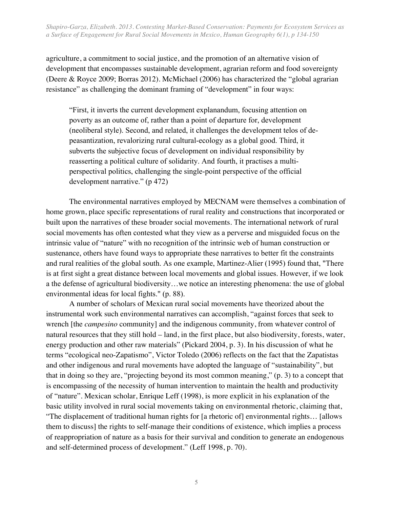agriculture, a commitment to social justice, and the promotion of an alternative vision of development that encompasses sustainable development, agrarian reform and food sovereignty (Deere & Royce 2009; Borras 2012). McMichael (2006) has characterized the "global agrarian resistance" as challenging the dominant framing of "development" in four ways:

"First, it inverts the current development explanandum, focusing attention on poverty as an outcome of, rather than a point of departure for, development (neoliberal style). Second, and related, it challenges the development telos of depeasantization, revalorizing rural cultural-ecology as a global good. Third, it subverts the subjective focus of development on individual responsibility by reasserting a political culture of solidarity. And fourth, it practises a multiperspectival politics, challenging the single-point perspective of the official development narrative." (p 472)

The environmental narratives employed by MECNAM were themselves a combination of home grown, place specific representations of rural reality and constructions that incorporated or built upon the narratives of these broader social movements. The international network of rural social movements has often contested what they view as a perverse and misguided focus on the intrinsic value of "nature" with no recognition of the intrinsic web of human construction or sustenance, others have found ways to appropriate these narratives to better fit the constraints and rural realities of the global south. As one example, Martinez-Alier (1995) found that, "There is at first sight a great distance between local movements and global issues. However, if we look a the defense of agricultural biodiversity…we notice an interesting phenomena: the use of global environmental ideas for local fights." (p. 88).

A number of scholars of Mexican rural social movements have theorized about the instrumental work such environmental narratives can accomplish, "against forces that seek to wrench [the *campesino* community] and the indigenous community, from whatever control of natural resources that they still hold – land, in the first place, but also biodiversity, forests, water, energy production and other raw materials" (Pickard 2004, p. 3). In his discussion of what he terms "ecological neo-Zapatismo", Victor Toledo (2006) reflects on the fact that the Zapatistas and other indigenous and rural movements have adopted the language of "sustainability", but that in doing so they are, "projecting beyond its most common meaning," (p. 3) to a concept that is encompassing of the necessity of human intervention to maintain the health and productivity of "nature". Mexican scholar, Enrique Leff (1998), is more explicit in his explanation of the basic utility involved in rural social movements taking on environmental rhetoric, claiming that, "The displacement of traditional human rights for [a rhetoric of] environmental rights… [allows them to discuss] the rights to self-manage their conditions of existence, which implies a process of reappropriation of nature as a basis for their survival and condition to generate an endogenous and self-determined process of development." (Leff 1998, p. 70).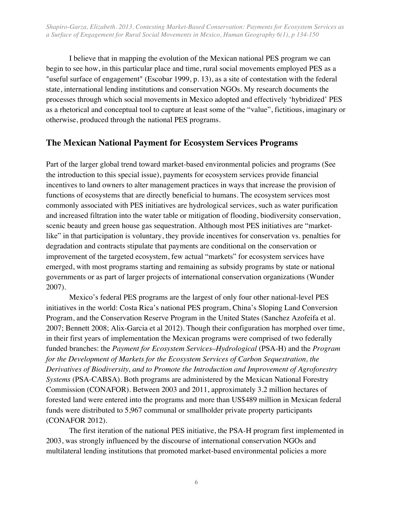I believe that in mapping the evolution of the Mexican national PES program we can begin to see how, in this particular place and time, rural social movements employed PES as a "useful surface of engagement" (Escobar 1999, p. 13), as a site of contestation with the federal state, international lending institutions and conservation NGOs. My research documents the processes through which social movements in Mexico adopted and effectively 'hybridized' PES as a rhetorical and conceptual tool to capture at least some of the "value", fictitious, imaginary or otherwise, produced through the national PES programs.

## **The Mexican National Payment for Ecosystem Services Programs**

Part of the larger global trend toward market-based environmental policies and programs (See the introduction to this special issue), payments for ecosystem services provide financial incentives to land owners to alter management practices in ways that increase the provision of functions of ecosystems that are directly beneficial to humans. The ecosystem services most commonly associated with PES initiatives are hydrological services, such as water purification and increased filtration into the water table or mitigation of flooding, biodiversity conservation, scenic beauty and green house gas sequestration. Although most PES initiatives are "marketlike" in that participation is voluntary, they provide incentives for conservation vs. penalties for degradation and contracts stipulate that payments are conditional on the conservation or improvement of the targeted ecosystem, few actual "markets" for ecosystem services have emerged, with most programs starting and remaining as subsidy programs by state or national governments or as part of larger projects of international conservation organizations (Wunder 2007).

Mexico's federal PES programs are the largest of only four other national-level PES initiatives in the world: Costa Rica's national PES program, China's Sloping Land Conversion Program, and the Conservation Reserve Program in the United States (Sanchez Azofeifa et al. 2007; Bennett 2008; Alix-Garcia et al 2012). Though their configuration has morphed over time, in their first years of implementation the Mexican programs were comprised of two federally funded branches: the *Payment for Ecosystem Services–Hydrological* (PSA-H) and the *Program for the Development of Markets for the Ecosystem Services of Carbon Sequestration, the Derivatives of Biodiversity, and to Promote the Introduction and Improvement of Agroforestry Systems* (PSA-CABSA). Both programs are administered by the Mexican National Forestry Commission (CONAFOR). Between 2003 and 2011, approximately 3.2 million hectares of forested land were entered into the programs and more than US\$489 million in Mexican federal funds were distributed to 5,967 communal or smallholder private property participants (CONAFOR 2012).

The first iteration of the national PES initiative, the PSA-H program first implemented in 2003, was strongly influenced by the discourse of international conservation NGOs and multilateral lending institutions that promoted market-based environmental policies a more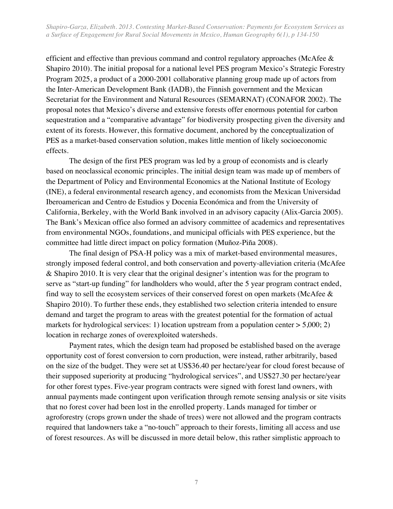efficient and effective than previous command and control regulatory approaches (McAfee & Shapiro 2010). The initial proposal for a national level PES program Mexico's Strategic Forestry Program 2025, a product of a 2000-2001 collaborative planning group made up of actors from the Inter-American Development Bank (IADB), the Finnish government and the Mexican Secretariat for the Environment and Natural Resources (SEMARNAT) (CONAFOR 2002). The proposal notes that Mexico's diverse and extensive forests offer enormous potential for carbon sequestration and a "comparative advantage" for biodiversity prospecting given the diversity and extent of its forests. However, this formative document, anchored by the conceptualization of PES as a market-based conservation solution, makes little mention of likely socioeconomic effects.

The design of the first PES program was led by a group of economists and is clearly based on neoclassical economic principles. The initial design team was made up of members of the Department of Policy and Environmental Economics at the National Institute of Ecology (INE), a federal environmental research agency, and economists from the Mexican Universidad Iberoamerican and Centro de Estudios y Docenia Económica and from the University of California, Berkeley, with the World Bank involved in an advisory capacity (Alix-Garcia 2005). The Bank's Mexican office also formed an advisory committee of academics and representatives from environmental NGOs, foundations, and municipal officials with PES experience, but the committee had little direct impact on policy formation (Muñoz-Piña 2008).

The final design of PSA-H policy was a mix of market-based environmental measures, strongly imposed federal control, and both conservation and poverty-alleviation criteria (McAfee & Shapiro 2010. It is very clear that the original designer's intention was for the program to serve as "start-up funding" for landholders who would, after the 5 year program contract ended, find way to sell the ecosystem services of their conserved forest on open markets (McAfee  $\&$ Shapiro 2010). To further these ends, they established two selection criteria intended to ensure demand and target the program to areas with the greatest potential for the formation of actual markets for hydrological services: 1) location upstream from a population center  $> 5,000; 2)$ location in recharge zones of overexploited watersheds.

Payment rates, which the design team had proposed be established based on the average opportunity cost of forest conversion to corn production, were instead, rather arbitrarily, based on the size of the budget. They were set at US\$36.40 per hectare/year for cloud forest because of their supposed superiority at producing "hydrological services", and US\$27.30 per hectare/year for other forest types. Five-year program contracts were signed with forest land owners, with annual payments made contingent upon verification through remote sensing analysis or site visits that no forest cover had been lost in the enrolled property. Lands managed for timber or agroforestry (crops grown under the shade of trees) were not allowed and the program contracts required that landowners take a "no-touch" approach to their forests, limiting all access and use of forest resources. As will be discussed in more detail below, this rather simplistic approach to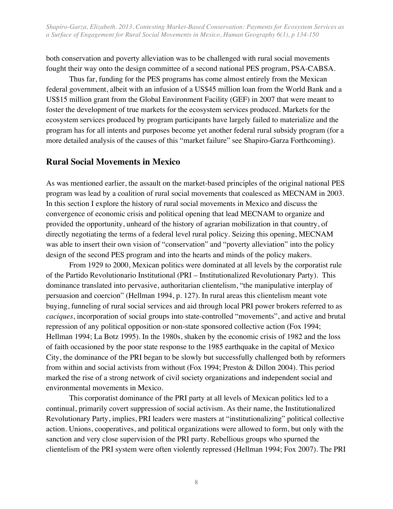both conservation and poverty alleviation was to be challenged with rural social movements fought their way onto the design committee of a second national PES program, PSA-CABSA.

Thus far, funding for the PES programs has come almost entirely from the Mexican federal government, albeit with an infusion of a US\$45 million loan from the World Bank and a US\$15 million grant from the Global Environment Facility (GEF) in 2007 that were meant to foster the development of true markets for the ecosystem services produced. Markets for the ecosystem services produced by program participants have largely failed to materialize and the program has for all intents and purposes become yet another federal rural subsidy program (for a more detailed analysis of the causes of this "market failure" see Shapiro-Garza Forthcoming).

## **Rural Social Movements in Mexico**

As was mentioned earlier, the assault on the market-based principles of the original national PES program was lead by a coalition of rural social movements that coalesced as MECNAM in 2003. In this section I explore the history of rural social movements in Mexico and discuss the convergence of economic crisis and political opening that lead MECNAM to organize and provided the opportunity, unheard of the history of agrarian mobilization in that country, of directly negotiating the terms of a federal level rural policy. Seizing this opening, MECNAM was able to insert their own vision of "conservation" and "poverty alleviation" into the policy design of the second PES program and into the hearts and minds of the policy makers.

From 1929 to 2000, Mexican politics were dominated at all levels by the corporatist rule of the Partido Revolutionario Institutional (PRI – Institutionalized Revolutionary Party). This dominance translated into pervasive, authoritarian clientelism, "the manipulative interplay of persuasion and coercion" (Hellman 1994, p. 127). In rural areas this clientelism meant vote buying, funneling of rural social services and aid through local PRI power brokers referred to as *caciques*, incorporation of social groups into state-controlled "movements", and active and brutal repression of any political opposition or non-state sponsored collective action (Fox 1994; Hellman 1994; La Botz 1995). In the 1980s, shaken by the economic crisis of 1982 and the loss of faith occasioned by the poor state response to the 1985 earthquake in the capital of Mexico City, the dominance of the PRI began to be slowly but successfully challenged both by reformers from within and social activists from without (Fox 1994; Preston & Dillon 2004). This period marked the rise of a strong network of civil society organizations and independent social and environmental movements in Mexico.

This corporatist dominance of the PRI party at all levels of Mexican politics led to a continual, primarily covert suppression of social activism. As their name, the Institutionalized Revolutionary Party, implies, PRI leaders were masters at "institutionalizing" political collective action. Unions, cooperatives, and political organizations were allowed to form, but only with the sanction and very close supervision of the PRI party. Rebellious groups who spurned the clientelism of the PRI system were often violently repressed (Hellman 1994; Fox 2007). The PRI

8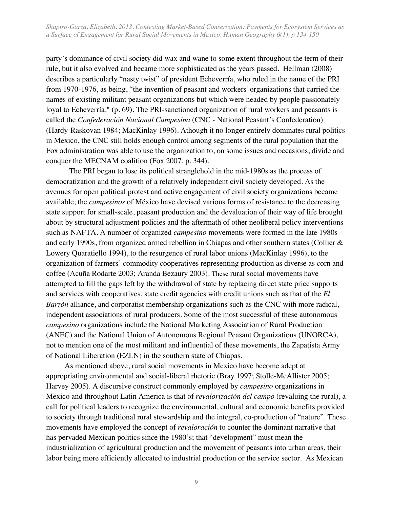party's dominance of civil society did wax and wane to some extent throughout the term of their rule, but it also evolved and became more sophisticated as the years passed. Hellman (2008) describes a particularly "nasty twist" of president Echeverría, who ruled in the name of the PRI from 1970-1976, as being, "the invention of peasant and workers' organizations that carried the names of existing militant peasant organizations but which were headed by people passionately loyal to Echeverría." (p. 69). The PRI-sanctioned organization of rural workers and peasants is called the *Confederación Nacional Campesina* (CNC - National Peasant's Confederation) (Hardy-Raskovan 1984; MacKinlay 1996). Athough it no longer entirely dominates rural politics in Mexico, the CNC still holds enough control among segments of the rural population that the Fox administration was able to use the organization to, on some issues and occasions, divide and conquer the MECNAM coalition (Fox 2007, p. 344).

The PRI began to lose its political stranglehold in the mid-1980s as the process of democratization and the growth of a relatively independent civil society developed. As the avenues for open political protest and active engagement of civil society organizations became available, the *campesinos* of México have devised various forms of resistance to the decreasing state support for small-scale, peasant production and the devaluation of their way of life brought about by structural adjustment policies and the aftermath of other neoliberal policy interventions such as NAFTA. A number of organized *campesino* movements were formed in the late 1980s and early 1990s, from organized armed rebellion in Chiapas and other southern states (Collier & Lowery Quaratiello 1994), to the resurgence of rural labor unions (MacKinlay 1996), to the organization of farmers' commodity cooperatives representing production as diverse as corn and coffee (Acuña Rodarte 2003; Aranda Bezaury 2003). These rural social movements have attempted to fill the gaps left by the withdrawal of state by replacing direct state price supports and services with cooperatives, state credit agencies with credit unions such as that of the *El Barzón* alliance, and corporatist membership organizations such as the CNC with more radical, independent associations of rural producers. Some of the most successful of these autonomous *campesino* organizations include the National Marketing Association of Rural Production (ANEC) and the National Union of Autonomous Regional Peasant Organizations (UNORCA), not to mention one of the most militant and influential of these movements, the Zapatista Army of National Liberation (EZLN) in the southern state of Chiapas.

As mentioned above, rural social movements in Mexico have become adept at appropriating environmental and social-liberal rhetoric (Bray 1997; Stolle-McAllister 2005; Harvey 2005). A discursive construct commonly employed by *campesino* organizations in Mexico and throughout Latin America is that of *revalorización del campo* (revaluing the rural), a call for political leaders to recognize the environmental, cultural and economic benefits provided to society through traditional rural stewardship and the integral, co-production of "nature". These movements have employed the concept of *revaloración* to counter the dominant narrative that has pervaded Mexican politics since the 1980's; that "development" must mean the industrialization of agricultural production and the movement of peasants into urban areas, their labor being more efficiently allocated to industrial production or the service sector. As Mexican

9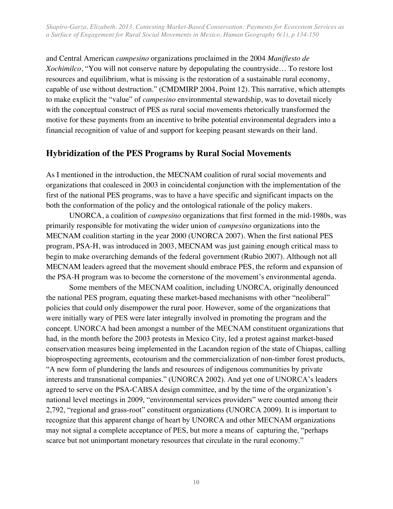and Central American *campesino* organizations proclaimed in the 2004 *Manifiesto de Xochimilco*, "You will not conserve nature by depopulating the countryside… To restore lost resources and equilibrium, what is missing is the restoration of a sustainable rural economy, capable of use without destruction." (CMDMIRP 2004, Point 12). This narrative, which attempts to make explicit the "value" of *campesino* environmental stewardship, was to dovetail nicely with the conceptual construct of PES as rural social movements rhetorically transformed the motive for these payments from an incentive to bribe potential environmental degraders into a financial recognition of value of and support for keeping peasant stewards on their land.

## **Hybridization of the PES Programs by Rural Social Movements**

As I mentioned in the introduction, the MECNAM coalition of rural social movements and organizations that coalesced in 2003 in coincidental conjunction with the implementation of the first of the national PES programs, was to have a have specific and significant impacts on the both the conformation of the policy and the ontological rationale of the policy makers.

UNORCA, a coalition of *campesino* organizations that first formed in the mid-1980s, was primarily responsible for motivating the wider union of *campesino* organizations into the MECNAM coalition starting in the year 2000 (UNORCA 2007). When the first national PES program, PSA-H, was introduced in 2003, MECNAM was just gaining enough critical mass to begin to make overarching demands of the federal government (Rubio 2007). Although not all MECNAM leaders agreed that the movement should embrace PES, the reform and expansion of the PSA-H program was to become the cornerstone of the movement's environmental agenda.

Some members of the MECNAM coalition, including UNORCA, originally denounced the national PES program, equating these market-based mechanisms with other "neoliberal" policies that could only disempower the rural poor. However, some of the organizations that were initially wary of PES were later integrally involved in promoting the program and the concept. UNORCA had been amongst a number of the MECNAM constituent organizations that had, in the month before the 2003 protests in Mexico City, led a protest against market-based conservation measures being implemented in the Lacandon region of the state of Chiapas, calling bioprospecting agreements, ecotourism and the commercialization of non-timber forest products, "A new form of plundering the lands and resources of indigenous communities by private interests and transnational companies." (UNORCA 2002). And yet one of UNORCA's leaders agreed to serve on the PSA-CABSA design committee, and by the time of the organization's national level meetings in 2009, "environmental services providers" were counted among their 2,792, "regional and grass-root" constituent organizations (UNORCA 2009). It is important to recognize that this apparent change of heart by UNORCA and other MECNAM organizations may not signal a complete acceptance of PES, but more a means of capturing the, "perhaps scarce but not unimportant monetary resources that circulate in the rural economy."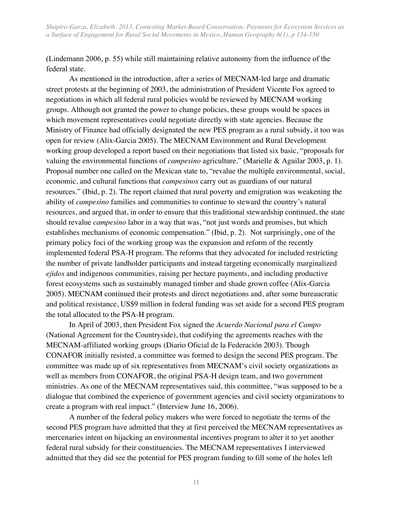(Lindemann 2006, p. 55) while still maintaining relative autonomy from the influence of the federal state.

As mentioned in the introduction, after a series of MECNAM-led large and dramatic street protests at the beginning of 2003, the administration of President Vicente Fox agreed to negotiations in which all federal rural policies would be reviewed by MECNAM working groups. Although not granted the power to change policies, these groups would be spaces in which movement representatives could negotiate directly with state agencies. Because the Ministry of Finance had officially designated the new PES program as a rural subsidy, it too was open for review (Alix-Garcia 2005). The MECNAM Environment and Rural Development working group developed a report based on their negotiations that listed six basic, "proposals for valuing the environmental functions of *campesino* agriculture." (Marielle & Aguilar 2003, p. 1). Proposal number one called on the Mexican state to, "revalue the multiple environmental, social, economic, and cultural functions that *campesinos* carry out as guardians of our natural resources." (Ibid, p. 2). The report claimed that rural poverty and emigration was weakening the ability of *campesino* families and communities to continue to steward the country's natural resources, and argued that, in order to ensure that this traditional stewardship continued, the state should revalue *campesino* labor in a way that was, "not just words and promises, but which establishes mechanisms of economic compensation." (Ibid, p. 2). Not surprisingly, one of the primary policy foci of the working group was the expansion and reform of the recently implemented federal PSA-H program. The reforms that they advocated for included restricting the number of private landholder participants and instead targeting economically marginalized *ejidos* and indigenous communities, raising per hectare payments, and including productive forest ecosystems such as sustainably managed timber and shade grown coffee (Alix-Garcia 2005). MECNAM continued their protests and direct negotiations and, after some bureaucratic and political resistance, US\$9 million in federal funding was set aside for a second PES program the total allocated to the PSA-H program.

In April of 2003, then President Fox signed the *Acuerdo Nacional para el Campo* (National Agreement for the Countryside), that codifying the agreements reaches with the MECNAM-affiliated working groups (Diario Oficial de la Federación 2003). Though CONAFOR initially resisted, a committee was formed to design the second PES program. The committee was made up of six representatives from MECNAM's civil society organizations as well as members from CONAFOR, the original PSA-H design team, and two government ministries. As one of the MECNAM representatives said, this committee, "was supposed to be a dialogue that combined the experience of government agencies and civil society organizations to create a program with real impact." (Interview June 16, 2006).

A number of the federal policy makers who were forced to negotiate the terms of the second PES program have admitted that they at first perceived the MECNAM representatives as mercenaries intent on hijacking an environmental incentives program to alter it to yet another federal rural subsidy for their constituencies. The MECNAM representatives I interviewed admitted that they did see the potential for PES program funding to fill some of the holes left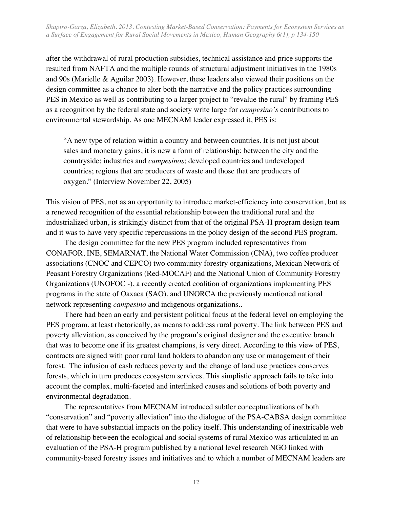after the withdrawal of rural production subsidies, technical assistance and price supports the resulted from NAFTA and the multiple rounds of structural adjustment initiatives in the 1980s and 90s (Marielle & Aguilar 2003). However, these leaders also viewed their positions on the design committee as a chance to alter both the narrative and the policy practices surrounding PES in Mexico as well as contributing to a larger project to "revalue the rural" by framing PES as a recognition by the federal state and society write large for *campesino's* contributions to environmental stewardship. As one MECNAM leader expressed it, PES is:

"A new type of relation within a country and between countries. It is not just about sales and monetary gains, it is new a form of relationship: between the city and the countryside; industries and *campesinos*; developed countries and undeveloped countries; regions that are producers of waste and those that are producers of oxygen." (Interview November 22, 2005)

This vision of PES, not as an opportunity to introduce market-efficiency into conservation, but as a renewed recognition of the essential relationship between the traditional rural and the industrialized urban, is strikingly distinct from that of the original PSA-H program design team and it was to have very specific repercussions in the policy design of the second PES program.

The design committee for the new PES program included representatives from CONAFOR, INE, SEMARNAT, the National Water Commission (CNA), two coffee producer associations (CNOC and CEPCO) two community forestry organizations, Mexican Network of Peasant Forestry Organizations (Red-MOCAF) and the National Union of Community Forestry Organizations (UNOFOC -), a recently created coalition of organizations implementing PES programs in the state of Oaxaca (SAO), and UNORCA the previously mentioned national network representing *campesino* and indigenous organizations..

There had been an early and persistent political focus at the federal level on employing the PES program, at least rhetorically, as means to address rural poverty. The link between PES and poverty alleviation, as conceived by the program's original designer and the executive branch that was to become one if its greatest champions, is very direct. According to this view of PES, contracts are signed with poor rural land holders to abandon any use or management of their forest. The infusion of cash reduces poverty and the change of land use practices conserves forests, which in turn produces ecosystem services. This simplistic approach fails to take into account the complex, multi-faceted and interlinked causes and solutions of both poverty and environmental degradation.

The representatives from MECNAM introduced subtler conceptualizations of both "conservation" and "poverty alleviation" into the dialogue of the PSA-CABSA design committee that were to have substantial impacts on the policy itself. This understanding of inextricable web of relationship between the ecological and social systems of rural Mexico was articulated in an evaluation of the PSA-H program published by a national level research NGO linked with community-based forestry issues and initiatives and to which a number of MECNAM leaders are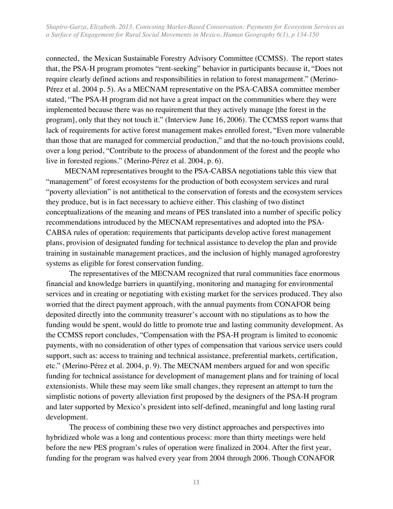connected, the Mexican Sustainable Forestry Advisory Committee (CCMSS). The report states that, the PSA-H program promotes "rent-seeking" behavior in participants because it, "Does not require clearly defined actions and responsibilities in relation to forest management." (Merino-Pérez et al. 2004 p. 5). As a MECNAM representative on the PSA-CABSA committee member stated, "The PSA-H program did not have a great impact on the communities where they were implemented because there was no requirement that they actively manage [the forest in the program], only that they not touch it." (Interview June 16, 2006). The CCMSS report warns that lack of requirements for active forest management makes enrolled forest, "Even more vulnerable than those that are managed for commercial production," and that the no-touch provisions could, over a long period, "Contribute to the process of abandonment of the forest and the people who live in forested regions." (Merino-Pérez et al. 2004, p. 6).

MECNAM representatives brought to the PSA-CABSA negotiations table this view that "management" of forest ecosystems for the production of both ecosystem services and rural "poverty alleviation" is not antithetical to the conservation of forests and the ecosystem services they produce, but is in fact necessary to achieve either. This clashing of two distinct conceptualizations of the meaning and means of PES translated into a number of specific policy recommendations introduced by the MECNAM representatives and adopted into the PSA-CABSA rules of operation: requirements that participants develop active forest management plans, provision of designated funding for technical assistance to develop the plan and provide training in sustainable management practices, and the inclusion of highly managed agroforestry systems as eligible for forest conservation funding.

The representatives of the MECNAM recognized that rural communities face enormous financial and knowledge barriers in quantifying, monitoring and managing for environmental services and in creating or negotiating with existing market for the services produced. They also worried that the direct payment approach, with the annual payments from CONAFOR being deposited directly into the community treasurer's account with no stipulations as to how the funding would be spent, would do little to promote true and lasting community development. As the CCMSS report concludes, "Compensation with the PSA-H program is limited to economic payments, with no consideration of other types of compensation that various service users could support, such as: access to training and technical assistance, preferential markets, certification, etc." (Merino-Pérez et al. 2004, p. 9). The MECNAM members argued for and won specific funding for technical assistance for development of management plans and for training of local extensionists. While these may seem like small changes, they represent an attempt to turn the simplistic notions of poverty alleviation first proposed by the designers of the PSA-H program and later supported by Mexico's president into self-defined, meaningful and long lasting rural development.

The process of combining these two very distinct approaches and perspectives into hybridized whole was a long and contentious process: more than thirty meetings were held before the new PES program's rules of operation were finalized in 2004. After the first year, funding for the program was halved every year from 2004 through 2006. Though CONAFOR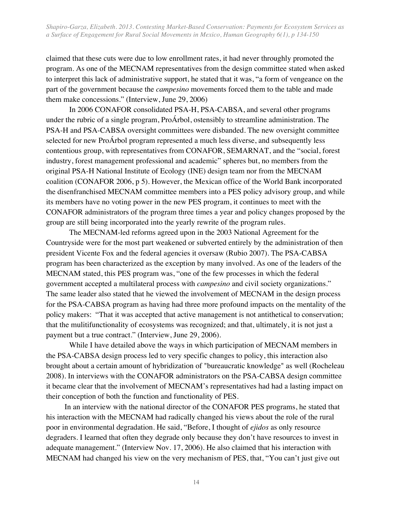claimed that these cuts were due to low enrollment rates, it had never throughly promoted the program. As one of the MECNAM representatives from the design committee stated when asked to interpret this lack of administrative support, he stated that it was, "a form of vengeance on the part of the government because the *campesino* movements forced them to the table and made them make concessions." (Interview, June 29, 2006)

In 2006 CONAFOR consolidated PSA-H, PSA-CABSA, and several other programs under the rubric of a single program, ProÁrbol, ostensibly to streamline administration. The PSA-H and PSA-CABSA oversight committees were disbanded. The new oversight committee selected for new ProÁrbol program represented a much less diverse, and subsequently less contentious group, with representatives from CONAFOR, SEMARNAT, and the "social, forest industry, forest management professional and academic" spheres but, no members from the original PSA-H National Institute of Ecology (INE) design team nor from the MECNAM coalition (CONAFOR 2006, p 5). However, the Mexican office of the World Bank incorporated the disenfranchised MECNAM committee members into a PES policy advisory group, and while its members have no voting power in the new PES program, it continues to meet with the CONAFOR administrators of the program three times a year and policy changes proposed by the group are still being incorporated into the yearly rewrite of the program rules.

The MECNAM-led reforms agreed upon in the 2003 National Agreement for the Countryside were for the most part weakened or subverted entirely by the administration of then president Vicente Fox and the federal agencies it oversaw (Rubio 2007). The PSA-CABSA program has been characterized as the exception by many involved. As one of the leaders of the MECNAM stated, this PES program was, "one of the few processes in which the federal government accepted a multilateral process with *campesino* and civil society organizations." The same leader also stated that he viewed the involvement of MECNAM in the design process for the PSA-CABSA program as having had three more profound impacts on the mentality of the policy makers: "That it was accepted that active management is not antithetical to conservation; that the mulitifunctionality of ecosystems was recognized; and that, ultimately, it is not just a payment but a true contract." (Interview, June 29, 2006).

While I have detailed above the ways in which participation of MECNAM members in the PSA-CABSA design process led to very specific changes to policy, this interaction also brought about a certain amount of hybridization of "bureaucratic knowledge" as well (Rocheleau 2008). In interviews with the CONAFOR administrators on the PSA-CABSA design committee it became clear that the involvement of MECNAM's representatives had had a lasting impact on their conception of both the function and functionality of PES.

In an interview with the national director of the CONAFOR PES programs, he stated that his interaction with the MECNAM had radically changed his views about the role of the rural poor in environmental degradation. He said, "Before, I thought of *ejidos* as only resource degraders. I learned that often they degrade only because they don't have resources to invest in adequate management." (Interview Nov. 17, 2006). He also claimed that his interaction with MECNAM had changed his view on the very mechanism of PES, that, "You can't just give out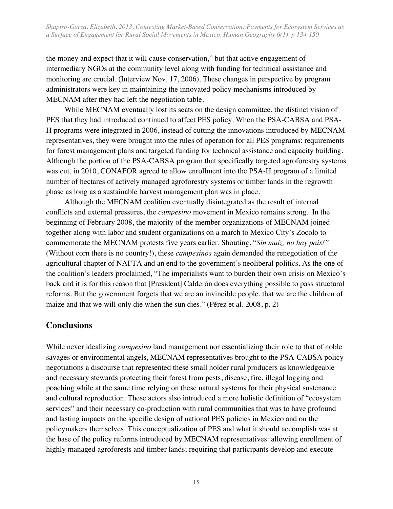the money and expect that it will cause conservation," but that active engagement of intermediary NGOs at the community level along with funding for technical assistance and monitoring are crucial. (Interview Nov. 17, 2006). These changes in perspective by program administrators were key in maintaining the innovated policy mechanisms introduced by MECNAM after they had left the negotiation table.

While MECNAM eventually lost its seats on the design committee, the distinct vision of PES that they had introduced continued to affect PES policy. When the PSA-CABSA and PSA-H programs were integrated in 2006, instead of cutting the innovations introduced by MECNAM representatives, they were brought into the rules of operation for all PES programs: requirements for forest management plans and targeted funding for technical assistance and capacity building. Although the portion of the PSA-CABSA program that specifically targeted agroforestry systems was cut, in 2010, CONAFOR agreed to allow enrollment into the PSA-H program of a limited number of hectares of actively managed agroforestry systems or timber lands in the regrowth phase as long as a sustainable harvest management plan was in place.

Although the MECNAM coalition eventually disintegrated as the result of internal conflicts and external pressures, the *campesino* movement in Mexico remains strong. In the beginning of February 2008, the majority of the member organizations of MECNAM joined together along with labor and student organizations on a march to Mexico City's Zocolo to commemorate the MECNAM protests five years earlier. Shouting, "*Sin maíz, no hay pais!"* (Without corn there is no country!), these *campesinos* again demanded the renegotiation of the agricultural chapter of NAFTA and an end to the government's neoliberal politics. As the one of the coalition's leaders proclaimed, "The imperialists want to burden their own crisis on Mexico's back and it is for this reason that [President] Calderón does everything possible to pass structural reforms. But the government forgets that we are an invincible people, that we are the children of maize and that we will only die when the sun dies." (Pérez et al. 2008, p. 2)

## **Conclusions**

While never idealizing *campesino* land management nor essentializing their role to that of noble savages or environmental angels, MECNAM representatives brought to the PSA-CABSA policy negotiations a discourse that represented these small holder rural producers as knowledgeable and necessary stewards protecting their forest from pests, disease, fire, illegal logging and poaching while at the same time relying on these natural systems for their physical sustenance and cultural reproduction. These actors also introduced a more holistic definition of "ecosystem services" and their necessary co-production with rural communities that was to have profound and lasting impacts on the specific design of national PES policies in Mexico and on the policymakers themselves. This conceptualization of PES and what it should accomplish was at the base of the policy reforms introduced by MECNAM representatives: allowing enrollment of highly managed agroforests and timber lands; requiring that participants develop and execute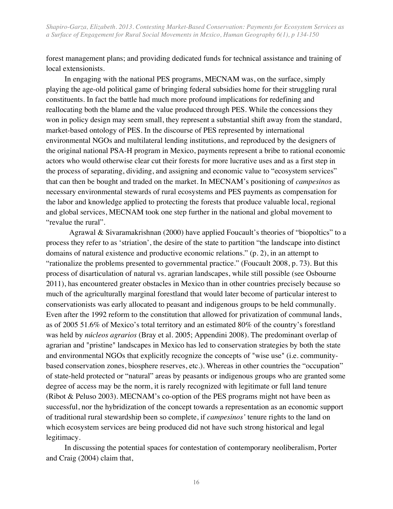forest management plans; and providing dedicated funds for technical assistance and training of local extensionists.

In engaging with the national PES programs, MECNAM was, on the surface, simply playing the age-old political game of bringing federal subsidies home for their struggling rural constituents. In fact the battle had much more profound implications for redefining and reallocating both the blame and the value produced through PES. While the concessions they won in policy design may seem small, they represent a substantial shift away from the standard, market-based ontology of PES. In the discourse of PES represented by international environmental NGOs and multilateral lending institutions, and reproduced by the designers of the original national PSA-H program in Mexico, payments represent a bribe to rational economic actors who would otherwise clear cut their forests for more lucrative uses and as a first step in the process of separating, dividing, and assigning and economic value to "ecosystem services" that can then be bought and traded on the market. In MECNAM's positioning of *campesinos* as necessary environmental stewards of rural ecosystems and PES payments as compensation for the labor and knowledge applied to protecting the forests that produce valuable local, regional and global services, MECNAM took one step further in the national and global movement to "revalue the rural".

Agrawal & Sivaramakrishnan (2000) have applied Foucault's theories of "biopoltics" to a process they refer to as 'striation', the desire of the state to partition "the landscape into distinct domains of natural existence and productive economic relations." (p. 2), in an attempt to "rationalize the problems presented to governmental practice." (Foucault 2008, p. 73). But this process of disarticulation of natural vs. agrarian landscapes, while still possible (see Osbourne 2011), has encountered greater obstacles in Mexico than in other countries precisely because so much of the agriculturally marginal forestland that would later become of particular interest to conservationists was early allocated to peasant and indigenous groups to be held communally. Even after the 1992 reform to the constitution that allowed for privatization of communal lands, as of 2005 51.6% of Mexico's total territory and an estimated 80% of the country's forestland was held by *núcleos agrarios* (Bray et al. 2005; Appendini 2008). The predominant overlap of agrarian and "pristine" landscapes in Mexico has led to conservation strategies by both the state and environmental NGOs that explicitly recognize the concepts of "wise use" (i.e. communitybased conservation zones, biosphere reserves, etc.). Whereas in other countries the "occupation" of state-held protected or "natural" areas by peasants or indigenous groups who are granted some degree of access may be the norm, it is rarely recognized with legitimate or full land tenure (Ribot & Peluso 2003). MECNAM's co-option of the PES programs might not have been as successful, nor the hybridization of the concept towards a representation as an economic support of traditional rural stewardship been so complete, if *campesinos'* tenure rights to the land on which ecosystem services are being produced did not have such strong historical and legal legitimacy.

In discussing the potential spaces for contestation of contemporary neoliberalism, Porter and Craig (2004) claim that,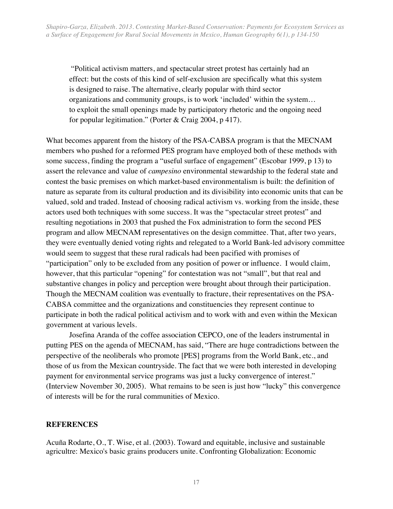"Political activism matters, and spectacular street protest has certainly had an effect: but the costs of this kind of self-exclusion are specifically what this system is designed to raise. The alternative, clearly popular with third sector organizations and community groups, is to work 'included' within the system… to exploit the small openings made by participatory rhetoric and the ongoing need for popular legitimation." (Porter & Craig 2004, p 417).

What becomes apparent from the history of the PSA-CABSA program is that the MECNAM members who pushed for a reformed PES program have employed both of these methods with some success, finding the program a "useful surface of engagement" (Escobar 1999, p 13) to assert the relevance and value of *campesino* environmental stewardship to the federal state and contest the basic premises on which market-based environmentalism is built: the definition of nature as separate from its cultural production and its divisibility into economic units that can be valued, sold and traded. Instead of choosing radical activism vs. working from the inside, these actors used both techniques with some success. It was the "spectacular street protest" and resulting negotiations in 2003 that pushed the Fox administration to form the second PES program and allow MECNAM representatives on the design committee. That, after two years, they were eventually denied voting rights and relegated to a World Bank-led advisory committee would seem to suggest that these rural radicals had been pacified with promises of "participation" only to be excluded from any position of power or influence. I would claim, however, that this particular "opening" for contestation was not "small", but that real and substantive changes in policy and perception were brought about through their participation. Though the MECNAM coalition was eventually to fracture, their representatives on the PSA-CABSA committee and the organizations and constituencies they represent continue to participate in both the radical political activism and to work with and even within the Mexican government at various levels.

Josefina Aranda of the coffee association CEPCO, one of the leaders instrumental in putting PES on the agenda of MECNAM, has said, "There are huge contradictions between the perspective of the neoliberals who promote [PES] programs from the World Bank, etc., and those of us from the Mexican countryside. The fact that we were both interested in developing payment for environmental service programs was just a lucky convergence of interest." (Interview November 30, 2005). What remains to be seen is just how "lucky" this convergence of interests will be for the rural communities of Mexico.

## **REFERENCES**

Acuña Rodarte, O., T. Wise, et al. (2003). Toward and equitable, inclusive and sustainable agricultre: Mexico's basic grains producers unite. Confronting Globalization: Economic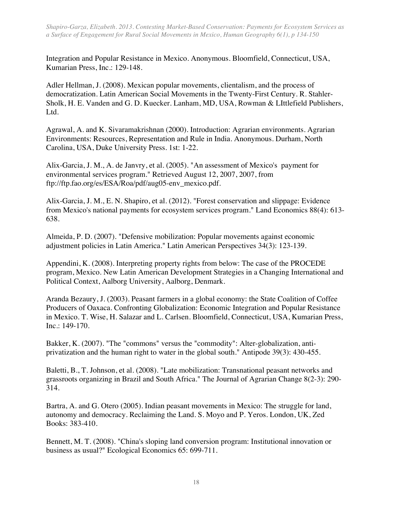Integration and Popular Resistance in Mexico. Anonymous. Bloomfield, Connecticut, USA, Kumarian Press, Inc.: 129-148.

Adler Hellman, J. (2008). Mexican popular movements, clientalism, and the process of democratization. Latin American Social Movements in the Twenty-First Century. R. Stahler-Sholk, H. E. Vanden and G. D. Kuecker. Lanham, MD, USA, Rowman & LIttlefield Publishers, Ltd.

Agrawal, A. and K. Sivaramakrishnan (2000). Introduction: Agrarian environments. Agrarian Environments: Resources, Representation and Rule in India. Anonymous. Durham, North Carolina, USA, Duke University Press. 1st: 1-22.

Alix-Garcia, J. M., A. de Janvry, et al. (2005). "An assessment of Mexico's payment for environmental services program." Retrieved August 12, 2007, 2007, from ftp://ftp.fao.org/es/ESA/Roa/pdf/aug05-env\_mexico.pdf.

Alix-Garcia, J. M., E. N. Shapiro, et al. (2012). "Forest conservation and slippage: Evidence from Mexico's national payments for ecosystem services program." Land Economics 88(4): 613- 638.

Almeida, P. D. (2007). "Defensive mobilization: Popular movements against economic adjustment policies in Latin America." Latin American Perspectives 34(3): 123-139.

Appendini, K. (2008). Interpreting property rights from below: The case of the PROCEDE program, Mexico. New Latin American Development Strategies in a Changing International and Political Context, Aalborg University, Aalborg, Denmark.

Aranda Bezaury, J. (2003). Peasant farmers in a global economy: the State Coalition of Coffee Producers of Oaxaca. Confronting Globalization: Economic Integration and Popular Resistance in Mexico. T. Wise, H. Salazar and L. Carlsen. Bloomfield, Connecticut, USA, Kumarian Press, Inc.: 149-170.

Bakker, K. (2007). "The "commons" versus the "commodity": Alter-globalization, antiprivatization and the human right to water in the global south." Antipode 39(3): 430-455.

Baletti, B., T. Johnson, et al. (2008). "Late mobilization: Transnational peasant networks and grassroots organizing in Brazil and South Africa." The Journal of Agrarian Change 8(2-3): 290- 314.

Bartra, A. and G. Otero (2005). Indian peasant movements in Mexico: The struggle for land, autonomy and democracy. Reclaiming the Land. S. Moyo and P. Yeros. London, UK, Zed Books: 383-410.

Bennett, M. T. (2008). "China's sloping land conversion program: Institutional innovation or business as usual?" Ecological Economics 65: 699-711.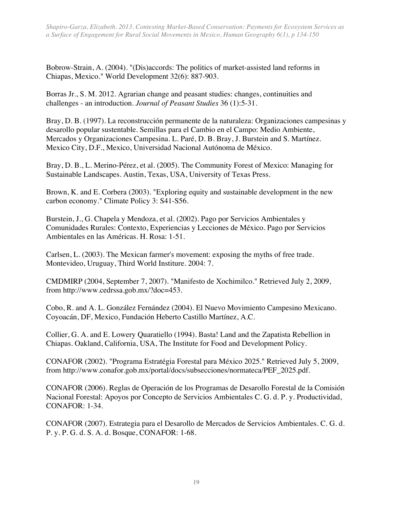Bobrow-Strain, A. (2004). "(Dis)accords: The politics of market-assisted land reforms in Chiapas, Mexico." World Development 32(6): 887-903.

Borras Jr., S. M. 2012. Agrarian change and peasant studies: changes, continuities and challenges - an introduction. *Journal of Peasant Studies* 36 (1):5-31.

Bray, D. B. (1997). La reconstrucción permanente de la naturaleza: Organizaciones campesinas y desarollo popular sustentable. Semillas para el Cambio en el Campo: Medio Ambiente, Mercados y Organizaciones Campesina. L. Paré, D. B. Bray, J. Burstein and S. Martínez. Mexico City, D.F., Mexico, Universidad Nacional Autónoma de México.

Bray, D. B., L. Merino-Pérez, et al. (2005). The Community Forest of Mexico: Managing for Sustainable Landscapes. Austin, Texas, USA, University of Texas Press.

Brown, K. and E. Corbera (2003). "Exploring equity and sustainable development in the new carbon economy." Climate Policy 3: S41-S56.

Burstein, J., G. Chapela y Mendoza, et al. (2002). Pago por Servicios Ambientales y Comunidades Rurales: Contexto, Experiencias y Lecciones de México. Pago por Servicios Ambientales en las Américas. H. Rosa: 1-51.

Carlsen, L. (2003). The Mexican farmer's movement: exposing the myths of free trade. Montevideo, Uruguay, Third World Institure. 2004: 7.

CMDMIRP (2004, September 7, 2007). "Manifesto de Xochimilco." Retrieved July 2, 2009, from http://www.cedrssa.gob.mx/?doc=453.

Cobo, R. and A. L. González Fernández (2004). El Nuevo Movimiento Campesino Mexicano. Coyoacán, DF, Mexico, Fundación Heberto Castillo Martínez, A.C.

Collier, G. A. and E. Lowery Quaratiello (1994). Basta! Land and the Zapatista Rebellion in Chiapas. Oakland, California, USA, The Institute for Food and Development Policy.

CONAFOR (2002). "Programa Estratégia Forestal para México 2025." Retrieved July 5, 2009, from http://www.conafor.gob.mx/portal/docs/subsecciones/normateca/PEF\_2025.pdf.

CONAFOR (2006). Reglas de Operación de los Programas de Desarollo Forestal de la Comisión Nacional Forestal: Apoyos por Concepto de Servicios Ambientales C. G. d. P. y. Productividad, CONAFOR: 1-34.

CONAFOR (2007). Estrategia para el Desarollo de Mercados de Servicios Ambientales. C. G. d. P. y. P. G. d. S. A. d. Bosque, CONAFOR: 1-68.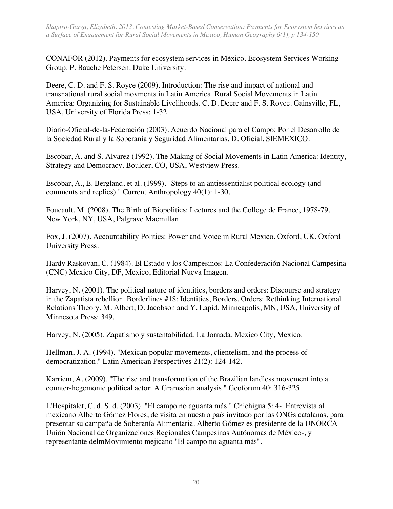CONAFOR (2012). Payments for ecosystem services in México. Ecosystem Services Working Group. P. Bauche Petersen. Duke University.

Deere, C. D. and F. S. Royce (2009). Introduction: The rise and impact of national and transnational rural social movments in Latin America. Rural Social Movements in Latin America: Organizing for Sustainable Livelihoods. C. D. Deere and F. S. Royce. Gainsville, FL, USA, University of Florida Press: 1-32.

Diario-Oficial-de-la-Federación (2003). Acuerdo Nacional para el Campo: Por el Desarrollo de la Sociedad Rural y la Soberanía y Seguridad Alimentarias. D. Oficial, SIEMEXICO.

Escobar, A. and S. Alvarez (1992). The Making of Social Movements in Latin America: Identity, Strategy and Democracy. Boulder, CO, USA, Westview Press.

Escobar, A., E. Bergland, et al. (1999). "Steps to an antiessentialist political ecology (and comments and replies)." Current Anthropology 40(1): 1-30.

Foucault, M. (2008). The Birth of Biopolitics: Lectures and the College de France, 1978-79. New York, NY, USA, Palgrave Macmillan.

Fox, J. (2007). Accountability Politics: Power and Voice in Rural Mexico. Oxford, UK, Oxford University Press.

Hardy Raskovan, C. (1984). El Estado y los Campesinos: La Confederación Nacional Campesina (CNC) Mexico City, DF, Mexico, Editorial Nueva Imagen.

Harvey, N. (2001). The political nature of identities, borders and orders: Discourse and strategy in the Zapatista rebellion. Borderlines #18: Identities, Borders, Orders: Rethinking International Relations Theory. M. Albert, D. Jacobson and Y. Lapid. Minneapolis, MN, USA, University of Minnesota Press: 349.

Harvey, N. (2005). Zapatismo y sustentabilidad. La Jornada. Mexico City, Mexico.

Hellman, J. A. (1994). "Mexican popular movements, clientelism, and the process of democratization." Latin American Perspectives 21(2): 124-142.

Karriem, A. (2009). "The rise and transformation of the Brazilian landless movement into a counter-hegemonic political actor: A Gramscian analysis." Geoforum 40: 316-325.

L'Hospitalet, C. d. S. d. (2003). "El campo no aguanta más." Chichigua 5: 4-. Entrevista al mexicano Alberto Gómez Flores, de visita en nuestro país invitado por las ONGs catalanas, para presentar su campaña de Soberanía Alimentaria. Alberto Gómez es presidente de la UNORCA Unión Nacional de Organizaciones Regionales Campesinas Autónomas de México-, y representante delmMovimiento mejicano "El campo no aguanta más".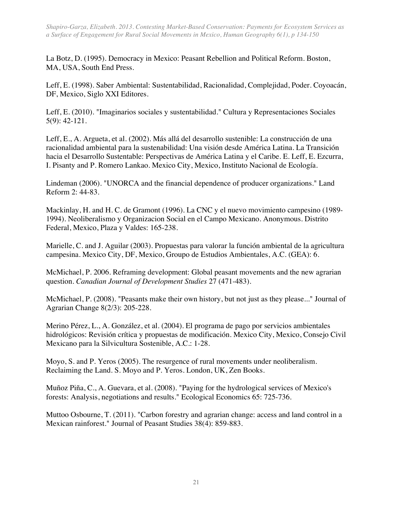La Botz, D. (1995). Democracy in Mexico: Peasant Rebellion and Political Reform. Boston, MA, USA, South End Press.

Leff, E. (1998). Saber Ambiental: Sustentabilidad, Racionalidad, Complejidad, Poder. Coyoacán, DF, Mexico, Siglo XXI Editores.

Leff, E. (2010). "Imaginarios sociales y sustentabilidad." Cultura y Representaciones Sociales 5(9): 42-121.

Leff, E., A. Argueta, et al. (2002). Más allá del desarrollo sustenible: La construcción de una racionalidad ambiental para la sustenabilidad: Una visión desde América Latina. La Transición hacia el Desarrollo Sustentable: Perspectivas de América Latina y el Caribe. E. Leff, E. Ezcurra, I. Pisanty and P. Romero Lankao. Mexico City, Mexico, Instituto Nacional de Ecología.

Lindeman (2006). "UNORCA and the financial dependence of producer organizations." Land Reform 2: 44-83.

Mackinlay, H. and H. C. de Gramont (1996). La CNC y el nuevo movimiento campesino (1989- 1994). Neoliberalismo y Organizacion Social en el Campo Mexicano. Anonymous. Distrito Federal, Mexico, Plaza y Valdes: 165-238.

Marielle, C. and J. Aguilar (2003). Propuestas para valorar la función ambiental de la agricultura campesina. Mexico City, DF, Mexico, Groupo de Estudios Ambientales, A.C. (GEA): 6.

McMichael, P. 2006. Reframing development: Global peasant movements and the new agrarian question. *Canadian Journal of Development Studies* 27 (471-483).

McMichael, P. (2008). "Peasants make their own history, but not just as they please..." Journal of Agrarian Change 8(2/3): 205-228.

Merino Pérez, L., A. González, et al. (2004). El programa de pago por servicios ambientales hidrológicos: Revisión crítica y propuestas de modificación. Mexico City, Mexico, Consejo Civil Mexicano para la Silvicultura Sostenible, A.C.: 1-28.

Moyo, S. and P. Yeros (2005). The resurgence of rural movements under neoliberalism. Reclaiming the Land. S. Moyo and P. Yeros. London, UK, Zen Books.

Muñoz Piña, C., A. Guevara, et al. (2008). "Paying for the hydrological services of Mexico's forests: Analysis, negotiations and results." Ecological Economics 65: 725-736.

Muttoo Osbourne, T. (2011). "Carbon forestry and agrarian change: access and land control in a Mexican rainforest." Journal of Peasant Studies 38(4): 859-883.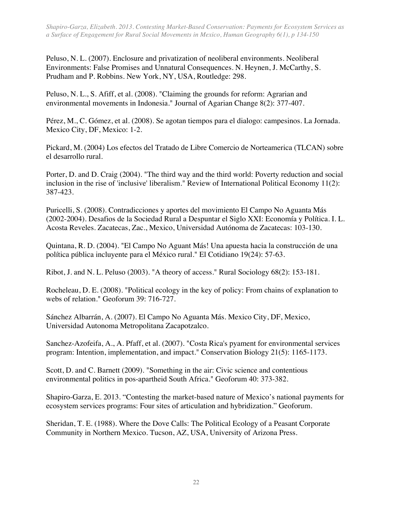Peluso, N. L. (2007). Enclosure and privatization of neoliberal environments. Neoliberal Environments: False Promises and Unnatural Consequences. N. Heynen, J. McCarthy, S. Prudham and P. Robbins. New York, NY, USA, Routledge: 298.

Peluso, N. L., S. Afiff, et al. (2008). "Claiming the grounds for reform: Agrarian and environmental movements in Indonesia." Journal of Agarian Change 8(2): 377-407.

Pérez, M., C. Gómez, et al. (2008). Se agotan tiempos para el dialogo: campesinos. La Jornada. Mexico City, DF, Mexico: 1-2.

Pickard, M. (2004) Los efectos del Tratado de Libre Comercio de Norteamerica (TLCAN) sobre el desarrollo rural.

Porter, D. and D. Craig (2004). "The third way and the third world: Poverty reduction and social inclusion in the rise of 'inclusive' liberalism." Review of International Political Economy 11(2): 387-423.

Puricelli, S. (2008). Contradicciones y aportes del movimiento El Campo No Aguanta Más (2002-2004). Desafios de la Sociedad Rural a Despuntar el Siglo XXI: Economía y Política. I. L. Acosta Reveles. Zacatecas, Zac., Mexico, Universidad Autónoma de Zacatecas: 103-130.

Quintana, R. D. (2004). "El Campo No Aguant Más! Una apuesta hacia la construcción de una política pública incluyente para el México rural." El Cotidiano 19(24): 57-63.

Ribot, J. and N. L. Peluso (2003). "A theory of access." Rural Sociology 68(2): 153-181.

Rocheleau, D. E. (2008). "Political ecology in the key of policy: From chains of explanation to webs of relation." Geoforum 39: 716-727.

Sánchez Albarrán, A. (2007). El Campo No Aguanta Más. Mexico City, DF, Mexico, Universidad Autonoma Metropolitana Zacapotzalco.

Sanchez-Azofeifa, A., A. Pfaff, et al. (2007). "Costa Rica's pyament for environmental services program: Intention, implementation, and impact." Conservation Biology 21(5): 1165-1173.

Scott, D. and C. Barnett (2009). "Something in the air: Civic science and contentious environmental politics in pos-apartheid South Africa." Geoforum 40: 373-382.

Shapiro-Garza, E. 2013. "Contesting the market-based nature of Mexico's national payments for ecosystem services programs: Four sites of articulation and hybridization." Geoforum.

Sheridan, T. E. (1988). Where the Dove Calls: The Political Ecology of a Peasant Corporate Community in Northern Mexico. Tucson, AZ, USA, University of Arizona Press.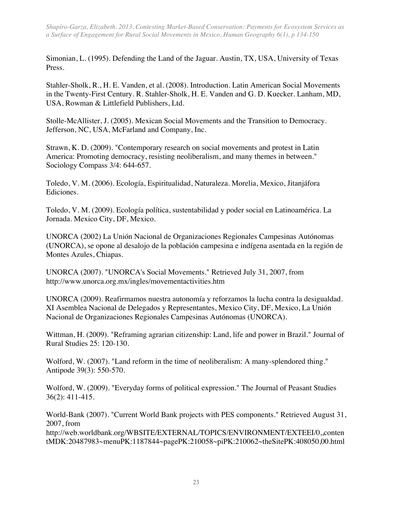Simonian, L. (1995). Defending the Land of the Jaguar. Austin, TX, USA, University of Texas Press.

Stahler-Sholk, R., H. E. Vanden, et al. (2008). Introduction. Latin American Social Movements in the Twenty-First Century. R. Stahler-Sholk, H. E. Vanden and G. D. Kuecker. Lanham, MD, USA, Rowman & Littlefield Publishers, Ltd.

Stolle-McAllister, J. (2005). Mexican Social Movements and the Transition to Democracy. Jefferson, NC, USA, McFarland and Company, Inc.

Strawn, K. D. (2009). "Contemporary research on social movements and protest in Latin America: Promoting democracy, resisting neoliberalism, and many themes in between." Sociology Compass 3/4: 644-657.

Toledo, V. M. (2006). Ecología, Espiritualidad, Naturaleza. Morelia, Mexico, Jitanjáfora Ediciones.

Toledo, V. M. (2009). Ecología política, sustentabilidad y poder social en Latinoamérica. La Jornada. Mexico City, DF, Mexico.

UNORCA (2002) La Unión Nacional de Organizaciones Regionales Campesinas Autónomas (UNORCA), se opone al desalojo de la población campesina e indígena asentada en la región de Montes Azules, Chiapas.

UNORCA (2007). "UNORCA's Social Movements." Retrieved July 31, 2007, from http://www.unorca.org.mx/ingles/movementactivities.htm

UNORCA (2009). Reafirmamos nuestra autonomía y reforzamos la lucha contra la desigualdad. XI Asemblea Nacional de Delegados y Representantes, Mexico City, DF, Mexico, La Unión Nacional de Organizaciones Regionales Campesinas Autónomas (UNORCA).

Wittman, H. (2009). "Reframing agrarian citizenship: Land, life and power in Brazil." Journal of Rural Studies 25: 120-130.

Wolford, W. (2007). "Land reform in the time of neoliberalism: A many-splendored thing." Antipode 39(3): 550-570.

Wolford, W. (2009). "Everyday forms of political expression." The Journal of Peasant Studies 36(2): 411-415.

World-Bank (2007). "Current World Bank projects with PES components." Retrieved August 31, 2007, from

http://web.worldbank.org/WBSITE/EXTERNAL/TOPICS/ENVIRONMENT/EXTEEI/0,,conten tMDK:20487983~menuPK:1187844~pagePK:210058~piPK:210062~theSitePK:408050,00.html